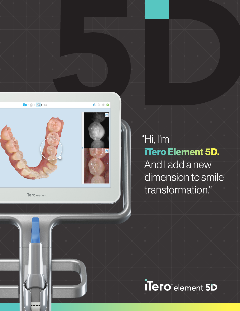

iTero element

# "Hi, I'm iTero Element 5D. And I add a new dimension to smile transformation."

ilero<sup>e</sup> element 5D